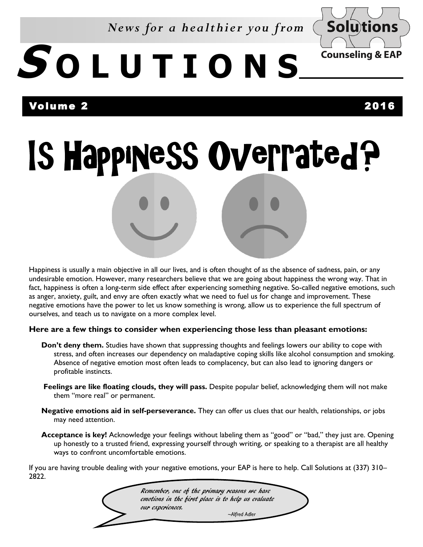*News for a healthier you from* 



# **S O L U T I O N S**

### Volume 2 2016

Is Happiness Overrated?

Happiness is usually a main objective in all our lives, and is often thought of as the absence of sadness, pain, or any undesirable emotion. However, many researchers believe that we are going about happiness the wrong way. That in fact, happiness is often a long-term side effect after experiencing something negative. So-called negative emotions, such as anger, anxiety, guilt, and envy are often exactly what we need to fuel us for change and improvement. These negative emotions have the power to let us know something is wrong, allow us to experience the full spectrum of ourselves, and teach us to navigate on a more complex level.

#### **Here are a few things to consider when experiencing those less than pleasant emotions:**

- **Don't deny them.** Studies have shown that suppressing thoughts and feelings lowers our ability to cope with stress, and often increases our dependency on maladaptive coping skills like alcohol consumption and smoking. Absence of negative emotion most often leads to complacency, but can also lead to ignoring dangers or profitable instincts.
- **Feelings are like floating clouds, they will pass.** Despite popular belief, acknowledging them will not make them "more real" or permanent.
- **Negative emotions aid in self-perseverance.** They can offer us clues that our health, relationships, or jobs may need attention.
- **Acceptance is key!** Acknowledge your feelings without labeling them as "good" or "bad," they just are. Opening up honestly to a trusted friend, expressing yourself through writing, or speaking to a therapist are all healthy ways to confront uncomfortable emotions.

If you are having trouble dealing with your negative emotions, your EAP is here to help. Call Solutions at (337) 310– 2822.